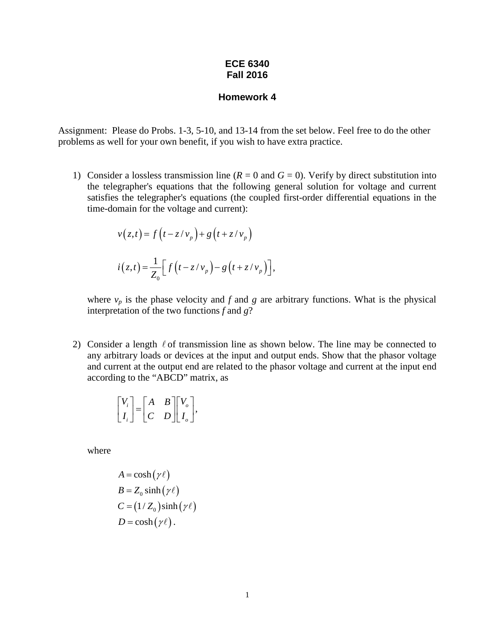## **ECE 6340 Fall 2016**

## **Homework 4**

Assignment: Please do Probs. 1-3, 5-10, and 13-14 from the set below. Feel free to do the other problems as well for your own benefit, if you wish to have extra practice.

1) Consider a lossless transmission line  $(R = 0$  and  $G = 0)$ . Verify by direct substitution into the telegrapher's equations that the following general solution for voltage and current satisfies the telegrapher's equations (the coupled first-order differential equations in the time-domain for the voltage and current):

$$
v(z,t) = f(t - z/v_p) + g(t + z/v_p)
$$
  

$$
i(z,t) = \frac{1}{Z_0} \Big[ f(t - z/v_p) - g(t + z/v_p) \Big],
$$

where  $v_p$  is the phase velocity and  $f$  and  $g$  are arbitrary functions. What is the physical interpretation of the two functions *f* and *g*?

2) Consider a length  $\ell$  of transmission line as shown below. The line may be connected to any arbitrary loads or devices at the input and output ends. Show that the phasor voltage and current at the output end are related to the phasor voltage and current at the input end according to the "ABCD" matrix, as

$$
\begin{bmatrix} V_i \\ I_i \end{bmatrix} = \begin{bmatrix} A & B \\ C & D \end{bmatrix} \begin{bmatrix} V_o \\ I_o \end{bmatrix},
$$

where

$$
A = \cosh(\gamma \ell)
$$
  
\n
$$
B = Z_0 \sinh(\gamma \ell)
$$
  
\n
$$
C = (1/Z_0) \sinh(\gamma \ell)
$$
  
\n
$$
D = \cosh(\gamma \ell).
$$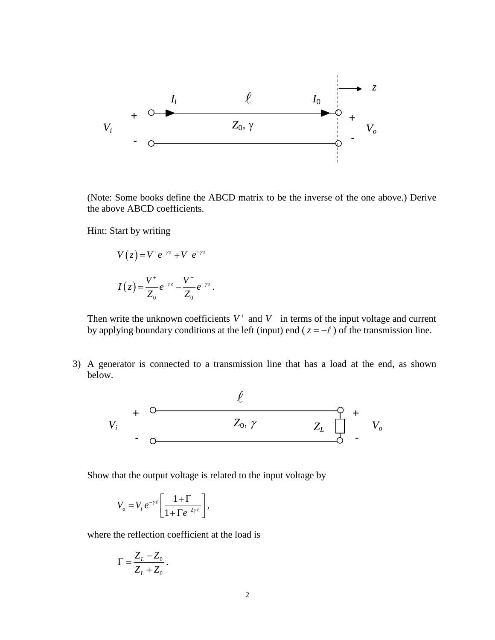

(Note: Some books define the ABCD matrix to be the inverse of the one above.) Derive the above ABCD coefficients.

Hint: Start by writing

$$
V(z) = V^+ e^{-\gamma z} + V^- e^{+\gamma z}
$$

$$
I(z) = \frac{V^+}{Z_0} e^{-\gamma z} - \frac{V^-}{Z_0} e^{+\gamma z}.
$$

Then write the unknown coefficients  $V^+$  and  $V^-$  in terms of the input voltage and current by applying boundary conditions at the left (input) end ( $z = -\ell$ ) of the transmission line.

3) A generator is connected to a transmission line that has a load at the end, as shown below.



Show that the output voltage is related to the input voltage by

$$
V_o = V_i e^{-\gamma \ell} \left[ \frac{1 + \Gamma}{1 + \Gamma e^{-2\gamma \ell}} \right],
$$

where the reflection coefficient at the load is

$$
\Gamma = \frac{Z_L - Z_0}{Z_L + Z_0}.
$$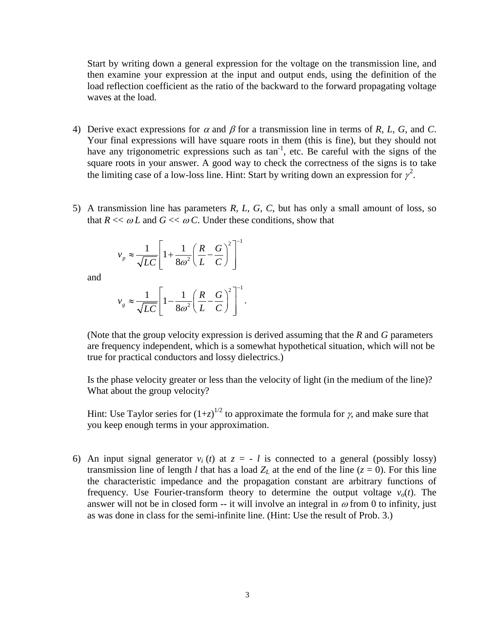Start by writing down a general expression for the voltage on the transmission line, and then examine your expression at the input and output ends, using the definition of the load reflection coefficient as the ratio of the backward to the forward propagating voltage waves at the load.

- 4) Derive exact expressions for  $\alpha$  and  $\beta$  for a transmission line in terms of *R*, *L*, *G*, and *C*. Your final expressions will have square roots in them (this is fine), but they should not have any trigonometric expressions such as  $\tan^{-1}$ , etc. Be careful with the signs of the square roots in your answer. A good way to check the correctness of the signs is to take the limiting case of a low-loss line. Hint: Start by writing down an expression for  $\gamma^2$ .
- 5) A transmission line has parameters *R*, *L*, *G*, *C*, but has only a small amount of loss, so that  $R \ll \omega L$  and  $G \ll \omega C$ . Under these conditions, show that

$$
v_p \approx \frac{1}{\sqrt{LC}} \left[ 1 + \frac{1}{8\omega^2} \left( \frac{R}{L} - \frac{G}{C} \right)^2 \right]^{-1}
$$

and

$$
v_g \approx \frac{1}{\sqrt{LC}} \left[ 1 - \frac{1}{8\omega^2} \left( \frac{R}{L} - \frac{G}{C} \right)^2 \right]^{-1}.
$$

(Note that the group velocity expression is derived assuming that the *R* and *G* parameters are frequency independent, which is a somewhat hypothetical situation, which will not be true for practical conductors and lossy dielectrics.)

Is the phase velocity greater or less than the velocity of light (in the medium of the line)? What about the group velocity?

Hint: Use Taylor series for  $(1+z)^{1/2}$  to approximate the formula for  $\gamma$ , and make sure that you keep enough terms in your approximation.

6) An input signal generator  $v_i(t)$  at  $z = -l$  is connected to a general (possibly lossy) transmission line of length *l* that has a load  $Z_L$  at the end of the line ( $z = 0$ ). For this line the characteristic impedance and the propagation constant are arbitrary functions of frequency. Use Fourier-transform theory to determine the output voltage  $v<sub>o</sub>(t)$ . The answer will not be in closed form -- it will involve an integral in  $\omega$  from 0 to infinity, just as was done in class for the semi-infinite line. (Hint: Use the result of Prob. 3.)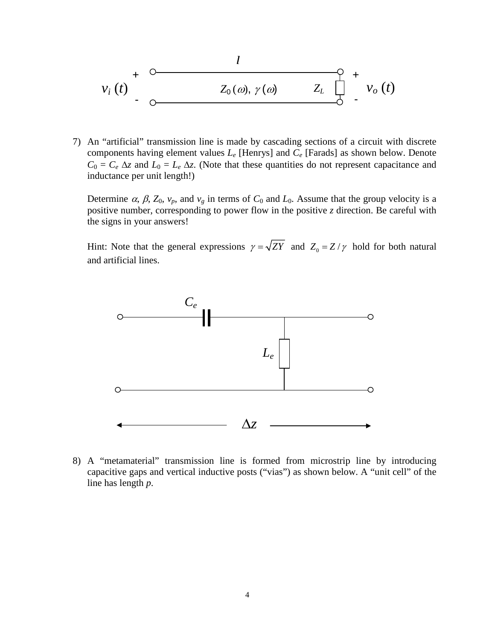$$
v_i(t) + \overline{C_{\text{O}}(a)}, \gamma(a) = \overline{C_{\text{O}}(t)} + \overline{C_{\text{O}}(t)}
$$

7) An "artificial" transmission line is made by cascading sections of a circuit with discrete components having element values *Le* [Henrys] and *Ce* [Farads] as shown below. Denote  $C_0 = C_e \Delta z$  and  $L_0 = L_e \Delta z$ . (Note that these quantities do not represent capacitance and inductance per unit length!)

Determine  $\alpha$ ,  $\beta$ ,  $Z_0$ ,  $v_p$ , and  $v_g$  in terms of  $C_0$  and  $L_0$ . Assume that the group velocity is a positive number, corresponding to power flow in the positive *z* direction. Be careful with the signs in your answers!

Hint: Note that the general expressions  $\gamma = \sqrt{ZY}$  and  $Z_0 = Z/\gamma$  hold for both natural and artificial lines.



8) A "metamaterial" transmission line is formed from microstrip line by introducing capacitive gaps and vertical inductive posts ("vias") as shown below. A "unit cell" of the line has length *p*.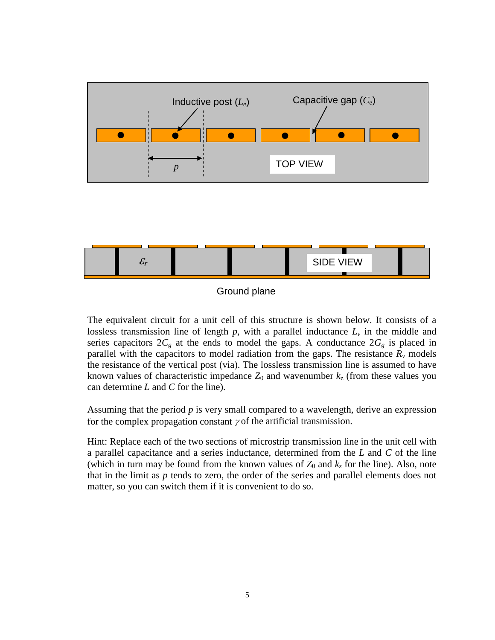

Ground plane

The equivalent circuit for a unit cell of this structure is shown below. It consists of a lossless transmission line of length  $p$ , with a parallel inductance  $L<sub>v</sub>$  in the middle and series capacitors  $2C_g$  at the ends to model the gaps. A conductance  $2G_g$  is placed in parallel with the capacitors to model radiation from the gaps. The resistance  $R<sub>v</sub>$  models the resistance of the vertical post (via). The lossless transmission line is assumed to have known values of characteristic impedance  $Z_0$  and wavenumber  $k_z$  (from these values you can determine *L* and *C* for the line).

Assuming that the period *p* is very small compared to a wavelength, derive an expression for the complex propagation constant  $\gamma$  of the artificial transmission.

Hint: Replace each of the two sections of microstrip transmission line in the unit cell with a parallel capacitance and a series inductance, determined from the *L* and *C* of the line (which in turn may be found from the known values of  $Z_0$  and  $k_z$  for the line). Also, note that in the limit as *p* tends to zero, the order of the series and parallel elements does not matter, so you can switch them if it is convenient to do so.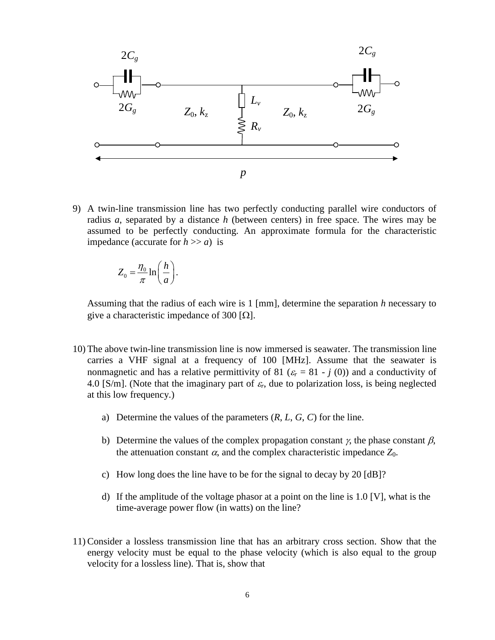

9) A twin-line transmission line has two perfectly conducting parallel wire conductors of radius *a*, separated by a distance *h* (between centers) in free space. The wires may be assumed to be perfectly conducting. An approximate formula for the characteristic impedance (accurate for  $h \gg a$ ) is

$$
Z_0 = \frac{\eta_0}{\pi} \ln\bigg(\frac{h}{a}\bigg).
$$

Assuming that the radius of each wire is 1 [mm], determine the separation *h* necessary to give a characteristic impedance of 300 [ $\Omega$ ].

- 10) The above twin-line transmission line is now immersed is seawater. The transmission line carries a VHF signal at a frequency of 100 [MHz]. Assume that the seawater is nonmagnetic and has a relative permittivity of 81 ( $\varepsilon$ <sub>r</sub> = 81 - *j* (0)) and a conductivity of 4.0 [S/m]. (Note that the imaginary part of  $\varepsilon_r$ , due to polarization loss, is being neglected at this low frequency.)
	- a) Determine the values of the parameters (*R*, *L*, *G*, *C*) for the line.
	- b) Determine the values of the complex propagation constant  $\gamma$ , the phase constant  $\beta$ , the attenuation constant  $\alpha$ , and the complex characteristic impedance  $Z_0$ .
	- c) How long does the line have to be for the signal to decay by 20 [dB]?
	- d) If the amplitude of the voltage phasor at a point on the line is 1.0 [V], what is the time-average power flow (in watts) on the line?
- 11) Consider a lossless transmission line that has an arbitrary cross section. Show that the energy velocity must be equal to the phase velocity (which is also equal to the group velocity for a lossless line). That is, show that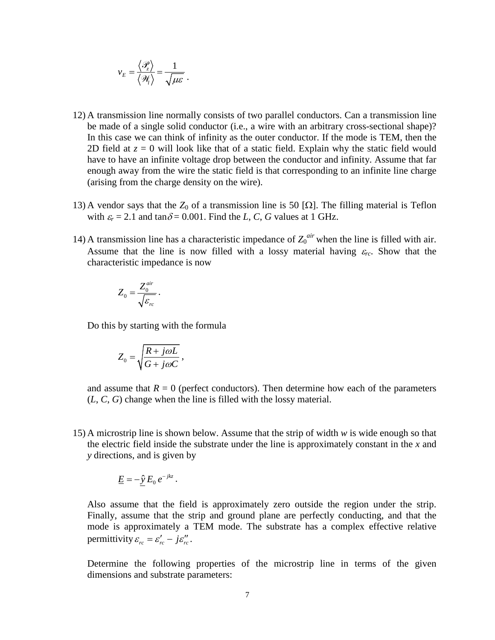$$
v_E = \frac{\langle \mathcal{P}_z \rangle}{\langle \mathcal{H}_i \rangle} = \frac{1}{\sqrt{\mu \varepsilon}}.
$$

- 12) A transmission line normally consists of two parallel conductors. Can a transmission line be made of a single solid conductor (i.e., a wire with an arbitrary cross-sectional shape)? In this case we can think of infinity as the outer conductor. If the mode is TEM, then the 2D field at  $z = 0$  will look like that of a static field. Explain why the static field would have to have an infinite voltage drop between the conductor and infinity. Assume that far enough away from the wire the static field is that corresponding to an infinite line charge (arising from the charge density on the wire).
- 13) A vendor says that the  $Z_0$  of a transmission line is 50 [ $\Omega$ ]. The filling material is Teflon with  $\varepsilon_r = 2.1$  and tan $\delta = 0.001$ . Find the *L*, *C*, *G* values at 1 GHz.
- 14) A transmission line has a characteristic impedance of  $Z_0^{air}$  when the line is filled with air. Assume that the line is now filled with a lossy material having  $\varepsilon_{rc}$ . Show that the characteristic impedance is now

$$
Z_0 = \frac{Z_0^{air}}{\sqrt{\varepsilon_{rc}}}\,.
$$

Do this by starting with the formula

$$
Z_0 = \sqrt{\frac{R + j\omega L}{G + j\omega C}}\,
$$

and assume that  $R = 0$  (perfect conductors). Then determine how each of the parameters (*L*, *C*, *G*) change when the line is filled with the lossy material.

15) A microstrip line is shown below. Assume that the strip of width *w* is wide enough so that the electric field inside the substrate under the line is approximately constant in the *x* and *y* directions, and is given by

$$
\underline{E} = -\hat{y} E_0 e^{-jkz}.
$$

Also assume that the field is approximately zero outside the region under the strip. Finally, assume that the strip and ground plane are perfectly conducting, and that the mode is approximately a TEM mode. The substrate has a complex effective relative permittivity  $\varepsilon_{rc} = \varepsilon_{rc}^{\prime} - j\varepsilon_{rc}^{\prime\prime}$ .

Determine the following properties of the microstrip line in terms of the given dimensions and substrate parameters: